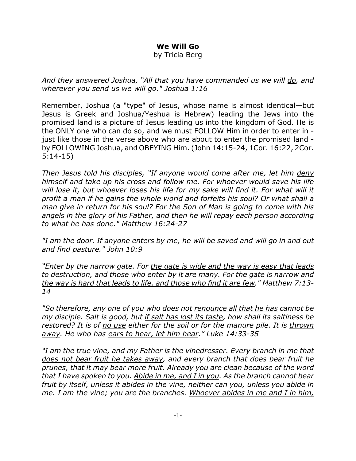## **We Will Go**

by Tricia Berg

*And they answered Joshua, "All that you have commanded us we will do, and wherever you send us we will go." Joshua 1:16*

Remember, Joshua (a "type" of Jesus, whose name is almost identical—but Jesus is Greek and Joshua/Yeshua is Hebrew) leading the Jews into the promised land is a picture of Jesus leading us into the kingdom of God. He is the ONLY one who can do so, and we must FOLLOW Him in order to enter in just like those in the verse above who are about to enter the promised land by FOLLOWING Joshua, and OBEYING Him. (John 14:15-24, 1Cor. 16:22, 2Cor. 5:14-15)

*Then Jesus told his disciples, "If anyone would come after me, let him deny himself and take up his cross and follow me. For whoever would save his life will lose it, but whoever loses his life for my sake will find it. For what will it profit a man if he gains the whole world and forfeits his soul? Or what shall a man give in return for his soul? For the Son of Man is going to come with his angels in the glory of his Father, and then he will repay each person according to what he has done." Matthew 16:24-27*

*"I am the door. If anyone enters by me, he will be saved and will go in and out and find pasture." John 10:9*

*"Enter by the narrow gate. For the gate is wide and the way is easy that leads to destruction, and those who enter by it are many. For the gate is narrow and the way is hard that leads to life, and those who find it are few." Matthew 7:13- 14*

*"So therefore, any one of you who does not renounce all that he has cannot be my disciple. Salt is good, but if salt has lost its taste, how shall its saltiness be restored? It is of no use either for the soil or for the manure pile. It is thrown away. He who has ears to hear, let him hear." Luke 14:33-35*

*"I am the true vine, and my Father is the vinedresser. Every branch in me that does not bear fruit he takes away, and every branch that does bear fruit he prunes, that it may bear more fruit. Already you are clean because of the word that I have spoken to you. Abide in me, and I in you. As the branch cannot bear fruit by itself, unless it abides in the vine, neither can you, unless you abide in me. I am the vine; you are the branches. Whoever abides in me and I in him,*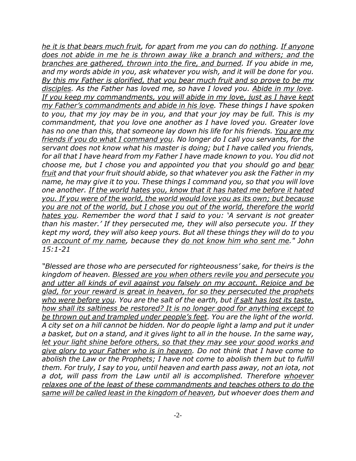*he it is that bears much fruit, for apart from me you can do nothing. If anyone does not abide in me he is thrown away like a branch and withers; and the branches are gathered, thrown into the fire, and burned. If you abide in me, and my words abide in you, ask whatever you wish, and it will be done for you. By this my Father is glorified, that you bear much fruit and so prove to be my disciples. As the Father has loved me, so have I loved you. Abide in my love. If you keep my commandments, you will abide in my love, just as I have kept my Father's commandments and abide in his love. These things I have spoken to you, that my joy may be in you, and that your joy may be full. This is my commandment, that you love one another as I have loved you. Greater love has no one than this, that someone lay down his life for his friends. You are my friends if you do what I command you. No longer do I call you servants, for the servant does not know what his master is doing; but I have called you friends, for all that I have heard from my Father I have made known to you. You did not choose me, but I chose you and appointed you that you should go and bear fruit and that your fruit should abide, so that whatever you ask the Father in my name, he may give it to you. These things I command you, so that you will love one another. If the world hates you, know that it has hated me before it hated you. If you were of the world, the world would love you as its own; but because you are not of the world, but I chose you out of the world, therefore the world hates you. Remember the word that I said to you: 'A servant is not greater than his master.' If they persecuted me, they will also persecute you. If they kept my word, they will also keep yours. But all these things they will do to you on account of my name, because they do not know him who sent me." John 15:1-21*

*"Blessed are those who are persecuted for righteousness' sake, for theirs is the kingdom of heaven. Blessed are you when others revile you and persecute you and utter all kinds of evil against you falsely on my account. Rejoice and be glad, for your reward is great in heaven, for so they persecuted the prophets who were before you. You are the salt of the earth, but if salt has lost its taste, how shall its saltiness be restored? It is no longer good for anything except to be thrown out and trampled under people's feet. You are the light of the world. A city set on a hill cannot be hidden. Nor do people light a lamp and put it under a basket, but on a stand, and it gives light to all in the house. In the same way, let your light shine before others, so that they may see your good works and give glory to your Father who is in heaven. Do not think that I have come to abolish the Law or the Prophets; I have not come to abolish them but to fulfill them. For truly, I say to you, until heaven and earth pass away, not an iota, not a dot, will pass from the Law until all is accomplished. Therefore whoever relaxes one of the least of these commandments and teaches others to do the same will be called least in the kingdom of heaven, but whoever does them and*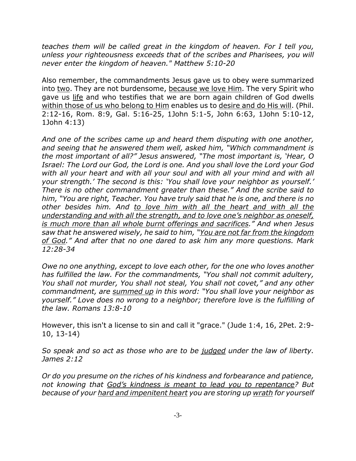*teaches them will be called great in the kingdom of heaven. For I tell you, unless your righteousness exceeds that of the scribes and Pharisees, you will never enter the kingdom of heaven." Matthew 5:10-20*

Also remember, the commandments Jesus gave us to obey were summarized into two. They are not burdensome, because we love Him. The very Spirit who gave us life and who testifies that we are born again children of God dwells within those of us who belong to Him enables us to desire and do His will. (Phil. 2:12-16, Rom. 8:9, Gal. 5:16-25, 1John 5:1-5, John 6:63, 1John 5:10-12, 1John 4:13)

*And one of the scribes came up and heard them disputing with one another, and seeing that he answered them well, asked him, "Which commandment is the most important of all?" Jesus answered, "The most important is, 'Hear, O Israel: The Lord our God, the Lord is one. And you shall love the Lord your God with all your heart and with all your soul and with all your mind and with all your strength.' The second is this: 'You shall love your neighbor as yourself.' There is no other commandment greater than these." And the scribe said to him, "You are right, Teacher. You have truly said that he is one, and there is no other besides him. And to love him with all the heart and with all the understanding and with all the strength, and to love one's neighbor as oneself, is much more than all whole burnt offerings and sacrifices." And when Jesus saw that he answered wisely, he said to him, "You are not far from the kingdom of God." And after that no one dared to ask him any more questions. Mark 12:28-34*

*Owe no one anything, except to love each other, for the one who loves another has fulfilled the law. For the commandments, "You shall not commit adultery, You shall not murder, You shall not steal, You shall not covet," and any other commandment, are summed up in this word: "You shall love your neighbor as yourself." Love does no wrong to a neighbor; therefore love is the fulfilling of the law. Romans 13:8-10*

However, this isn't a license to sin and call it "grace." (Jude 1:4, 16, 2Pet. 2:9- 10, 13-14)

*So speak and so act as those who are to be judged under the law of liberty. James 2:12*

*Or do you presume on the riches of his kindness and forbearance and patience, not knowing that God's kindness is meant to lead you to repentance? But because of your hard and impenitent heart you are storing up wrath for yourself*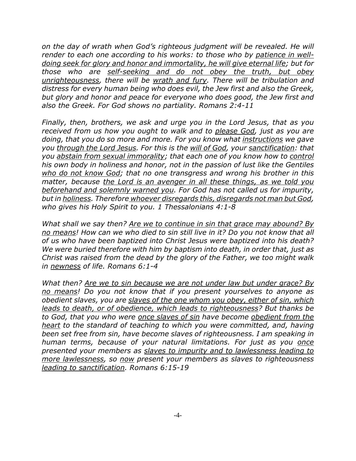*on the day of wrath when God's righteous judgment will be revealed. He will render to each one according to his works: to those who by patience in welldoing seek for glory and honor and immortality, he will give eternal life; but for those who are self-seeking and do not obey the truth, but obey unrighteousness, there will be wrath and fury. There will be tribulation and distress for every human being who does evil, the Jew first and also the Greek, but glory and honor and peace for everyone who does good, the Jew first and also the Greek. For God shows no partiality. Romans 2:4-11*

*Finally, then, brothers, we ask and urge you in the Lord Jesus, that as you received from us how you ought to walk and to please God, just as you are doing, that you do so more and more. For you know what instructions we gave you through the Lord Jesus. For this is the will of God, your sanctification: that you abstain from sexual immorality; that each one of you know how to control his own body in holiness and honor, not in the passion of lust like the Gentiles who do not know God; that no one transgress and wrong his brother in this matter, because the Lord is an avenger in all these things, as we told you beforehand and solemnly warned you. For God has not called us for impurity, but in holiness. Therefore whoever disregards this, disregards not man but God, who gives his Holy Spirit to you. 1 Thessalonians 4:1-8*

*What shall we say then? Are we to continue in sin that grace may abound? By no means! How can we who died to sin still live in it? Do you not know that all of us who have been baptized into Christ Jesus were baptized into his death? We were buried therefore with him by baptism into death, in order that, just as Christ was raised from the dead by the glory of the Father, we too might walk in newness of life. Romans 6:1-4*

*What then? Are we to sin because we are not under law but under grace? By no means! Do you not know that if you present yourselves to anyone as obedient slaves, you are slaves of the one whom you obey, either of sin, which leads to death, or of obedience, which leads to righteousness? But thanks be to God, that you who were once slaves of sin have become obedient from the heart to the standard of teaching to which you were committed, and, having been set free from sin, have become slaves of righteousness. I am speaking in human terms, because of your natural limitations. For just as you once presented your members as slaves to impurity and to lawlessness leading to more lawlessness, so now present your members as slaves to righteousness leading to sanctification. Romans 6:15-19*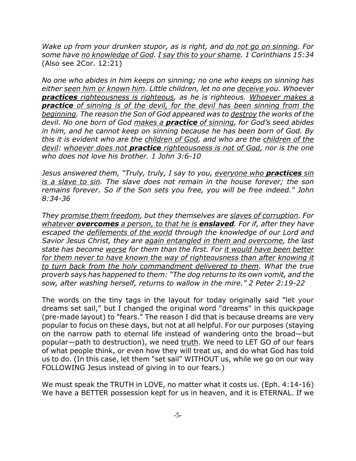*Wake up from your drunken stupor, as is right, and do not go on sinning. For some have no knowledge of God. I say this to your shame. 1 Corinthians 15:34* (Also see 2Cor. 12:21)

*No one who abides in him keeps on sinning; no one who keeps on sinning has either seen him or known him. Little children, let no one deceive you. Whoever practices righteousness is righteous, as he is righteous. Whoever makes a practice of sinning is of the devil, for the devil has been sinning from the beginning. The reason the Son of God appeared was to destroy the works of the devil. No one born of God makes a practice of sinning, for God's seed abides in him, and he cannot keep on sinning because he has been born of God. By this it is evident who are the children of God, and who are the children of the devil: whoever does not practice righteousness is not of God, nor is the one who does not love his brother. 1 John 3:6-10*

*Jesus answered them, "Truly, truly, I say to you, everyone who practices sin is a slave to sin. The slave does not remain in the house forever; the son remains forever. So if the Son sets you free, you will be free indeed." John 8:34-36*

*They promise them freedom, but they themselves are slaves of corruption. For whatever overcomes a person, to that he is enslaved. For if, after they have escaped the defilements of the world through the knowledge of our Lord and Savior Jesus Christ, they are again entangled in them and overcome, the last state has become worse for them than the first. For it would have been better for them never to have known the way of righteousness than after knowing it to turn back from the holy commandment delivered to them. What the true proverb says has happened to them: "The dog returns to its own vomit, and the sow, after washing herself, returns to wallow in the mire." 2 Peter 2:19-22*

The words on the tiny tags in the layout for today originally said "let your dreams set sail," but I changed the original word "dreams" in this quickpage (pre-made layout) to "fears." The reason I did that is because dreams are very popular to focus on these days, but not at all helpful. For our purposes (staying on the narrow path to eternal life instead of wandering onto the broad—but popular—path to destruction), we need truth. We need to LET GO of our fears of what people think, or even how they will treat us, and do what God has told us to do. (In this case, let them "set sail" WITHOUT us, while we go on our way FOLLOWING Jesus instead of giving in to our fears.)

We must speak the TRUTH in LOVE, no matter what it costs us. (Eph. 4:14-16) We have a BETTER possession kept for us in heaven, and it is ETERNAL. If we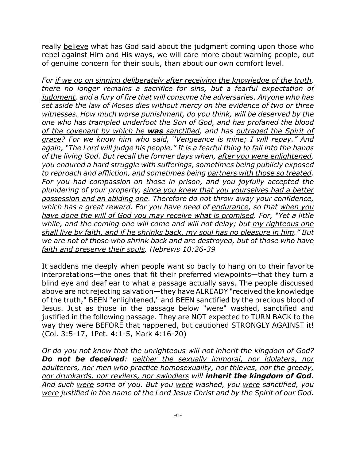really believe what has God said about the judgment coming upon those who rebel against Him and His ways, we will care more about warning people, out of genuine concern for their souls, than about our own comfort level.

*For if we go on sinning deliberately after receiving the knowledge of the truth, there no longer remains a sacrifice for sins, but a fearful expectation of judgment, and a fury of fire that will consume the adversaries. Anyone who has set aside the law of Moses dies without mercy on the evidence of two or three witnesses. How much worse punishment, do you think, will be deserved by the one who has trampled underfoot the Son of God, and has profaned the blood of the covenant by which he was sanctified, and has outraged the Spirit of grace? For we know him who said, "Vengeance is mine; I will repay." And again, "The Lord will judge his people." It is a fearful thing to fall into the hands of the living God. But recall the former days when, after you were enlightened, you endured a hard struggle with sufferings, sometimes being publicly exposed to reproach and affliction, and sometimes being partners with those so treated. For you had compassion on those in prison, and you joyfully accepted the plundering of your property, since you knew that you yourselves had a better possession and an abiding one. Therefore do not throw away your confidence, which has a great reward. For you have need of endurance, so that when you have done the will of God you may receive what is promised. For, "Yet a little while, and the coming one will come and will not delay; but my righteous one shall live by faith, and if he shrinks back, my soul has no pleasure in him." But we are not of those who shrink back and are destroyed, but of those who have faith and preserve their souls. Hebrews 10:26-39*

It saddens me deeply when people want so badly to hang on to their favorite interpretations—the ones that fit their preferred viewpoints—that they turn a blind eye and deaf ear to what a passage actually says. The people discussed above are not rejecting salvation—they have ALREADY "received the knowledge of the truth," BEEN "enlightened," and BEEN sanctified by the precious blood of Jesus. Just as those in the passage below "were" washed, sanctified and justified in the following passage. They are NOT expected to TURN BACK to the way they were BEFORE that happened, but cautioned STRONGLY AGAINST it! (Col. 3:5-17, 1Pet. 4:1-5, Mark 4:16-20)

*Or do you not know that the unrighteous will not inherit the kingdom of God? Do not be deceived: neither the sexually immoral, nor idolaters, nor adulterers, nor men who practice homosexuality, nor thieves, nor the greedy, nor drunkards, nor revilers, nor swindlers will inherit the kingdom of God. And such were some of you. But you were washed, you were sanctified, you were justified in the name of the Lord Jesus Christ and by the Spirit of our God.*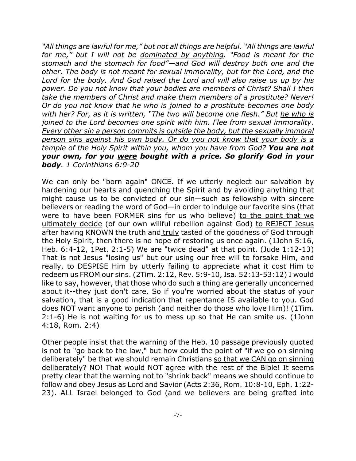*"All things are lawful for me," but not all things are helpful. "All things are lawful for me," but I will not be dominated by anything. "Food is meant for the stomach and the stomach for food"—and God will destroy both one and the other. The body is not meant for sexual immorality, but for the Lord, and the Lord for the body. And God raised the Lord and will also raise us up by his power. Do you not know that your bodies are members of Christ? Shall I then take the members of Christ and make them members of a prostitute? Never! Or do you not know that he who is joined to a prostitute becomes one body with her? For, as it is written, "The two will become one flesh." But he who is joined to the Lord becomes one spirit with him. Flee from sexual immorality. Every other sin a person commits is outside the body, but the sexually immoral person sins against his own body. Or do you not know that your body is a temple of the Holy Spirit within you, whom you have from God? You are not your own, for you were bought with a price. So glorify God in your body. 1 Corinthians 6:9-20*

We can only be "born again" ONCE. If we utterly neglect our salvation by hardening our hearts and quenching the Spirit and by avoiding anything that might cause us to be convicted of our sin—such as fellowship with sincere believers or reading the word of God—in order to indulge our favorite sins (that were to have been FORMER sins for us who believe) to the point that we ultimately decide (of our own willful rebellion against God) to REJECT Jesus after having KNOWN the truth and truly tasted of the goodness of God through the Holy Spirit, then there is no hope of restoring us once again. (1John 5:16, Heb. 6:4-12, 1Pet. 2:1-5) We are "twice dead" at that point. (Jude 1:12-13) That is not Jesus "losing us" but our using our free will to forsake Him, and really, to DESPISE Him by utterly failing to appreciate what it cost Him to redeem us FROM our sins. (2Tim. 2:12, Rev. 5:9-10, Isa. 52:13-53:12) I would like to say, however, that those who do such a thing are generally unconcerned about it--they just don't care. So if you're worried about the status of your salvation, that is a good indication that repentance IS available to you. God does NOT want anyone to perish (and neither do those who love Him)! (1Tim. 2:1-6) He is not waiting for us to mess up so that He can smite us. (1John 4:18, Rom. 2:4)

Other people insist that the warning of the Heb. 10 passage previously quoted is not to "go back to the law," but how could the point of "if we go on sinning deliberately" be that we should remain Christians so that we CAN go on sinning deliberately? NO! That would NOT agree with the rest of the Bible! It seems pretty clear that the warning not to "shrink back" means we should continue to follow and obey Jesus as Lord and Savior (Acts 2:36, Rom. 10:8-10, Eph. 1:22- 23). ALL Israel belonged to God (and we believers are being grafted into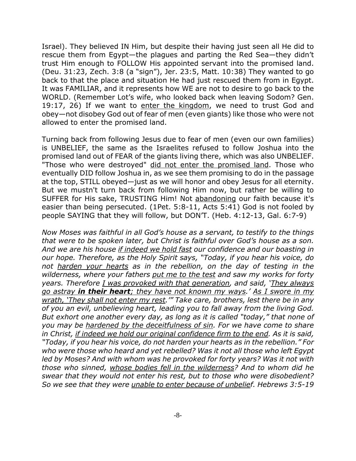Israel). They believed IN Him, but despite their having just seen all He did to rescue them from Egypt—the plagues and parting the Red Sea—they didn't trust Him enough to FOLLOW His appointed servant into the promised land. (Deu. 31:23, Zech. 3:8 (a "sign"), Jer. 23:5, Matt. 10:38) They wanted to go back to that the place and situation He had just rescued them from in Egypt. It was FAMILIAR, and it represents how WE are not to desire to go back to the WORLD. (Remember Lot's wife, who looked back when leaving Sodom? Gen. 19:17, 26) If we want to enter the kingdom, we need to trust God and obey—not disobey God out of fear of men (even giants) like those who were not allowed to enter the promised land.

Turning back from following Jesus due to fear of men (even our own families) is UNBELIEF, the same as the Israelites refused to follow Joshua into the promised land out of FEAR of the giants living there, which was also UNBELIEF. "Those who were destroyed" did not enter the promised land. Those who eventually DID follow Joshua in, as we see them promising to do in the passage at the top, STILL obeyed—just as we will honor and obey Jesus for all eternity. But we mustn't turn back from following Him now, but rather be willing to SUFFER for His sake, TRUSTING Him! Not abandoning our faith because it's easier than being persecuted. (1Pet. 5:8-11, Acts 5:41) God is not fooled by people SAYING that they will follow, but DON'T. (Heb. 4:12-13, Gal. 6:7-9)

*Now Moses was faithful in all God's house as a servant, to testify to the things that were to be spoken later, but Christ is faithful over God's house as a son. And we are his house if indeed we hold fast our confidence and our boasting in our hope. Therefore, as the Holy Spirit says, "Today, if you hear his voice, do not harden your hearts as in the rebellion, on the day of testing in the wilderness, where your fathers put me to the test and saw my works for forty years. Therefore I was provoked with that generation, and said, 'They always go astray in their heart; they have not known my ways.' As I swore in my wrath, 'They shall not enter my rest.'" Take care, brothers, lest there be in any of you an evil, unbelieving heart, leading you to fall away from the living God. But exhort one another every day, as long as it is called "today," that none of you may be hardened by the deceitfulness of sin. For we have come to share in Christ, if indeed we hold our original confidence firm to the end. As it is said, "Today, if you hear his voice, do not harden your hearts as in the rebellion." For who were those who heard and yet rebelled? Was it not all those who left Egypt led by Moses? And with whom was he provoked for forty years? Was it not with those who sinned, whose bodies fell in the wilderness? And to whom did he swear that they would not enter his rest, but to those who were disobedient? So we see that they were unable to enter because of unbelief. Hebrews 3:5-19*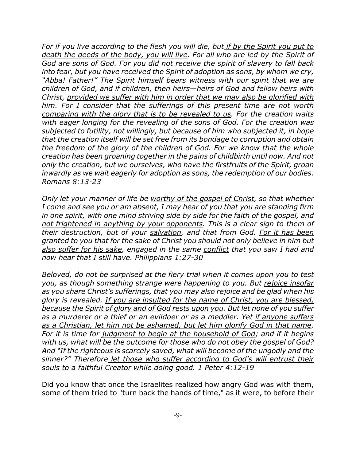*For if you live according to the flesh you will die, but if by the Spirit you put to death the deeds of the body, you will live. For all who are led by the Spirit of God are sons of God. For you did not receive the spirit of slavery to fall back into fear, but you have received the Spirit of adoption as sons, by whom we cry, "Abba! Father!" The Spirit himself bears witness with our spirit that we are children of God, and if children, then heirs—heirs of God and fellow heirs with Christ, provided we suffer with him in order that we may also be glorified with him. For I consider that the sufferings of this present time are not worth comparing with the glory that is to be revealed to us. For the creation waits with eager longing for the revealing of the sons of God. For the creation was subjected to futility, not willingly, but because of him who subjected it, in hope that the creation itself will be set free from its bondage to corruption and obtain the freedom of the glory of the children of God. For we know that the whole creation has been groaning together in the pains of childbirth until now. And not only the creation, but we ourselves, who have the firstfruits of the Spirit, groan inwardly as we wait eagerly for adoption as sons, the redemption of our bodies. Romans 8:13-23*

*Only let your manner of life be worthy of the gospel of Christ, so that whether I come and see you or am absent, I may hear of you that you are standing firm in one spirit, with one mind striving side by side for the faith of the gospel, and not frightened in anything by your opponents. This is a clear sign to them of their destruction, but of your salvation, and that from God. For it has been granted to you that for the sake of Christ you should not only believe in him but also suffer for his sake, engaged in the same conflict that you saw I had and now hear that I still have. Philippians 1:27-30*

*Beloved, do not be surprised at the fiery trial when it comes upon you to test you, as though something strange were happening to you. But rejoice insofar as you share Christ's sufferings, that you may also rejoice and be glad when his glory is revealed. If you are insulted for the name of Christ, you are blessed, because the Spirit of glory and of God rests upon you. But let none of you suffer as a murderer or a thief or an evildoer or as a meddler. Yet if anyone suffers as a Christian, let him not be ashamed, but let him glorify God in that name. For it is time for judgment to begin at the household of God; and if it begins with us, what will be the outcome for those who do not obey the gospel of God? And "If the righteous is scarcely saved, what will become of the ungodly and the sinner?" Therefore let those who suffer according to God's will entrust their souls to a faithful Creator while doing good. 1 Peter 4:12-19*

Did you know that once the Israelites realized how angry God was with them, some of them tried to "turn back the hands of time," as it were, to before their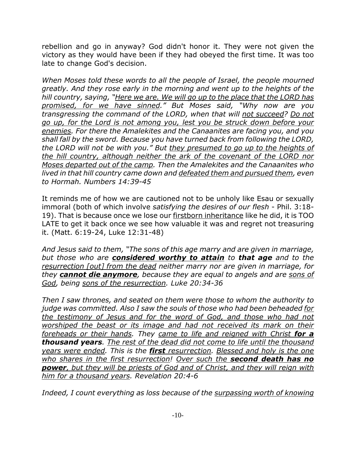rebellion and go in anyway? God didn't honor it. They were not given the victory as they would have been if they had obeyed the first time. It was too late to change God's decision.

*When Moses told these words to all the people of Israel, the people mourned greatly. And they rose early in the morning and went up to the heights of the hill country, saying, "Here we are. We will go up to the place that the LORD has promised, for we have sinned." But Moses said, "Why now are you transgressing the command of the LORD, when that will not succeed? Do not go up, for the Lord is not among you, lest you be struck down before your enemies. For there the Amalekites and the Canaanites are facing you, and you shall fall by the sword. Because you have turned back from following the LORD, the LORD will not be with you." But they presumed to go up to the heights of the hill country, although neither the ark of the covenant of the LORD nor Moses departed out of the camp. Then the Amalekites and the Canaanites who lived in that hill country came down and defeated them and pursued them, even to Hormah. Numbers 14:39-45*

It reminds me of how we are cautioned not to be unholy like Esau or sexually immoral (both of which involve *satisfying the desires of our flesh* - Phil. 3:18- 19). That is because once we lose our firstborn inheritance like he did, it is TOO LATE to get it back once we see how valuable it was and regret not treasuring it. (Matt. 6:19-24, Luke 12:31-48)

*And Jesus said to them, "The sons of this age marry and are given in marriage, but those who are considered worthy to attain to that age and to the resurrection [out] from the dead neither marry nor are given in marriage, for they cannot die anymore, because they are equal to angels and are sons of God, being sons of the resurrection. Luke 20:34-36*

*Then I saw thrones, and seated on them were those to whom the authority to judge was committed. Also I saw the souls of those who had been beheaded for the testimony of Jesus and for the word of God, and those who had not worshiped the beast or its image and had not received its mark on their foreheads or their hands. They came to life and reigned with Christ for a thousand years. The rest of the dead did not come to life until the thousand years were ended. This is the first resurrection. Blessed and holy is the one who shares in the first resurrection! Over such the second death has no power, but they will be priests of God and of Christ, and they will reign with him for a thousand years. Revelation 20:4-6*

*Indeed, I count everything as loss because of the surpassing worth of knowing*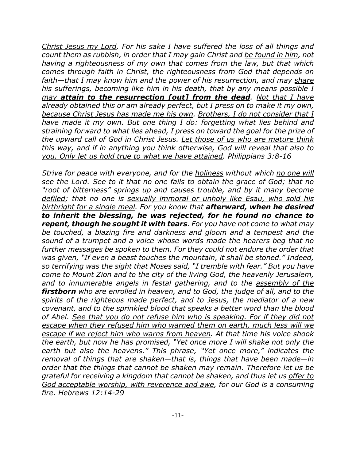*Christ Jesus my Lord. For his sake I have suffered the loss of all things and count them as rubbish, in order that I may gain Christ and be found in him, not having a righteousness of my own that comes from the law, but that which comes through faith in Christ, the righteousness from God that depends on faith—that I may know him and the power of his resurrection, and may share his sufferings, becoming like him in his death, that by any means possible I may attain to the resurrection [out] from the dead. Not that I have already obtained this or am already perfect, but I press on to make it my own, because Christ Jesus has made me his own. Brothers, I do not consider that I have made it my own. But one thing I do: forgetting what lies behind and straining forward to what lies ahead, I press on toward the goal for the prize of the upward call of God in Christ Jesus. Let those of us who are mature think this way, and if in anything you think otherwise, God will reveal that also to you. Only let us hold true to what we have attained. Philippians 3:8-16*

*Strive for peace with everyone, and for the holiness without which no one will see the Lord. See to it that no one fails to obtain the grace of God; that no "root of bitterness" springs up and causes trouble, and by it many become defiled; that no one is sexually immoral or unholy like Esau, who sold his birthright for a single meal. For you know that afterward, when he desired to inherit the blessing, he was rejected, for he found no chance to repent, though he sought it with tears. For you have not come to what may be touched, a blazing fire and darkness and gloom and a tempest and the sound of a trumpet and a voice whose words made the hearers beg that no further messages be spoken to them. For they could not endure the order that was given, "If even a beast touches the mountain, it shall be stoned." Indeed, so terrifying was the sight that Moses said, "I tremble with fear." But you have come to Mount Zion and to the city of the living God, the heavenly Jerusalem, and to innumerable angels in festal gathering, and to the assembly of the firstborn who are enrolled in heaven, and to God, the judge of all, and to the spirits of the righteous made perfect, and to Jesus, the mediator of a new covenant, and to the sprinkled blood that speaks a better word than the blood of Abel. See that you do not refuse him who is speaking. For if they did not escape when they refused him who warned them on earth, much less will we escape if we reject him who warns from heaven. At that time his voice shook the earth, but now he has promised, "Yet once more I will shake not only the earth but also the heavens." This phrase, "Yet once more," indicates the removal of things that are shaken—that is, things that have been made—in order that the things that cannot be shaken may remain. Therefore let us be grateful for receiving a kingdom that cannot be shaken, and thus let us offer to God acceptable worship, with reverence and awe, for our God is a consuming fire. Hebrews 12:14-29*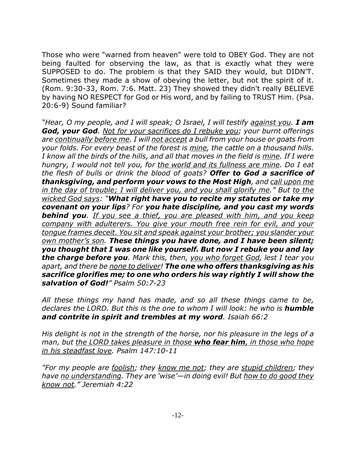Those who were "warned from heaven" were told to OBEY God. They are not being faulted for observing the law, as that is exactly what they were SUPPOSED to do. The problem is that they SAID they would, but DIDN'T. Sometimes they made a show of obeying the letter, but not the spirit of it. (Rom. 9:30-33, Rom. 7:6. Matt. 23) They showed they didn't really BELIEVE by having NO RESPECT for God or His word, and by failing to TRUST Him. (Psa. 20:6-9) Sound familiar?

*"Hear, O my people, and I will speak; O Israel, I will testify against you. I am God, your God. Not for your sacrifices do I rebuke you; your burnt offerings are continually before me. I will not accept a bull from your house or goats from your folds. For every beast of the forest is mine, the cattle on a thousand hills. I know all the birds of the hills, and all that moves in the field is mine. If I were hungry, I would not tell you, for the world and its fullness are mine. Do I eat the flesh of bulls or drink the blood of goats? Offer to God a sacrifice of thanksgiving, and perform your vows to the Most High, and call upon me in the day of trouble; I will deliver you, and you shall glorify me." But to the wicked God says: "What right have you to recite my statutes or take my covenant on your lips? For you hate discipline, and you cast my words behind you. If you see a thief, you are pleased with him, and you keep company with adulterers. You give your mouth free rein for evil, and your tongue frames deceit. You sit and speak against your brother; you slander your own mother's son. These things you have done, and I have been silent; you thought that I was one like yourself. But now I rebuke you and lay the charge before you. Mark this, then, you who forget God, lest I tear you apart, and there be none to deliver! The one who offers thanksgiving as his sacrifice glorifies me; to one who orders his way rightly I will show the salvation of God!" Psalm 50:7-23*

*All these things my hand has made, and so all these things came to be, declares the LORD. But this is the one to whom I will look: he who is humble and contrite in spirit and trembles at my word. Isaiah 66:2*

*His delight is not in the strength of the horse, nor his pleasure in the legs of a man, but the LORD takes pleasure in those who fear him, in those who hope in his steadfast love. Psalm 147:10-11*

*"For my people are foolish; they know me not; they are stupid children; they have no understanding. They are 'wise'—in doing evil! But how to do good they know not." Jeremiah 4:22*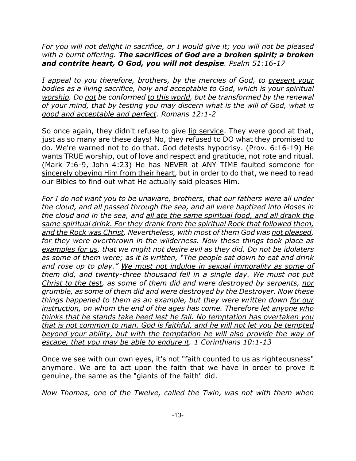*For you will not delight in sacrifice, or I would give it; you will not be pleased with a burnt offering. The sacrifices of God are a broken spirit; a broken and contrite heart, O God, you will not despise. Psalm 51:16-17*

*I appeal to you therefore, brothers, by the mercies of God, to present your bodies as a living sacrifice, holy and acceptable to God, which is your spiritual worship. Do not be conformed to this world, but be transformed by the renewal of your mind, that by testing you may discern what is the will of God, what is good and acceptable and perfect. Romans 12:1-2*

So once again, they didn't refuse to give lip service. They were good at that, just as so many are these days! No, they refused to DO what they promised to do. We're warned not to do that. God detests hypocrisy. (Prov. 6:16-19) He wants TRUE worship, out of love and respect and gratitude, not rote and ritual. (Mark 7:6-9, John 4:23) He has NEVER at ANY TIME faulted someone for sincerely obeying Him from their heart, but in order to do that, we need to read our Bibles to find out what He actually said pleases Him.

*For I do not want you to be unaware, brothers, that our fathers were all under the cloud, and all passed through the sea, and all were baptized into Moses in the cloud and in the sea, and all ate the same spiritual food, and all drank the same spiritual drink. For they drank from the spiritual Rock that followed them, and the Rock was Christ. Nevertheless, with most of them God was not pleased, for they were overthrown in the wilderness. Now these things took place as examples for us, that we might not desire evil as they did. Do not be idolaters as some of them were; as it is written, "The people sat down to eat and drink and rose up to play." We must not indulge in sexual immorality as some of them did, and twenty-three thousand fell in a single day. We must not put Christ to the test, as some of them did and were destroyed by serpents, nor grumble, as some of them did and were destroyed by the Destroyer. Now these things happened to them as an example, but they were written down for our instruction, on whom the end of the ages has come. Therefore let anyone who thinks that he stands take heed lest he fall. No temptation has overtaken you that is not common to man. God is faithful, and he will not let you be tempted beyond your ability, but with the temptation he will also provide the way of escape, that you may be able to endure it. 1 Corinthians 10:1-13*

Once we see with our own eyes, it's not "faith counted to us as righteousness" anymore. We are to act upon the faith that we have in order to prove it genuine, the same as the "giants of the faith" did.

*Now Thomas, one of the Twelve, called the Twin, was not with them when*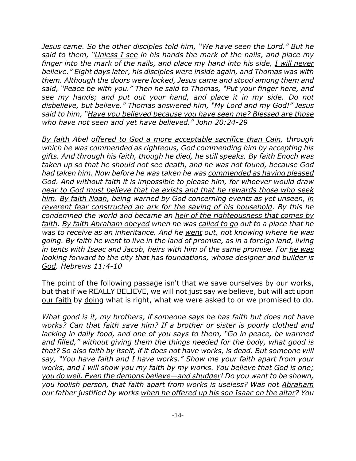*Jesus came. So the other disciples told him, "We have seen the Lord." But he said to them, "Unless I see in his hands the mark of the nails, and place my finger into the mark of the nails, and place my hand into his side, I will never believe." Eight days later, his disciples were inside again, and Thomas was with them. Although the doors were locked, Jesus came and stood among them and said, "Peace be with you." Then he said to Thomas, "Put your finger here, and see my hands; and put out your hand, and place it in my side. Do not disbelieve, but believe." Thomas answered him, "My Lord and my God!" Jesus said to him, "Have you believed because you have seen me? Blessed are those who have not seen and yet have believed." John 20:24-29*

*By faith Abel offered to God a more acceptable sacrifice than Cain, through which he was commended as righteous, God commending him by accepting his gifts. And through his faith, though he died, he still speaks. By faith Enoch was taken up so that he should not see death, and he was not found, because God had taken him. Now before he was taken he was commended as having pleased God. And without faith it is impossible to please him, for whoever would draw near to God must believe that he exists and that he rewards those who seek him. By faith Noah, being warned by God concerning events as yet unseen, in reverent fear constructed an ark for the saving of his household. By this he condemned the world and became an heir of the righteousness that comes by faith. By faith Abraham obeyed when he was called to go out to a place that he was to receive as an inheritance. And he went out, not knowing where he was going. By faith he went to live in the land of promise, as in a foreign land, living in tents with Isaac and Jacob, heirs with him of the same promise. For he was looking forward to the city that has foundations, whose designer and builder is God. Hebrews 11:4-10*

The point of the following passage isn't that we save ourselves by our works, but that if we REALLY BELIEVE, we will not just say we believe, but will act upon our faith by doing what is right, what we were asked to or we promised to do.

*What good is it, my brothers, if someone says he has faith but does not have works? Can that faith save him? If a brother or sister is poorly clothed and lacking in daily food, and one of you says to them, "Go in peace, be warmed and filled," without giving them the things needed for the body, what good is that? So also faith by itself, if it does not have works, is dead. But someone will say, "You have faith and I have works." Show me your faith apart from your works, and I will show you my faith by my works. You believe that God is one; you do well. Even the demons believe—and shudder! Do you want to be shown, you foolish person, that faith apart from works is useless? Was not Abraham our father justified by works when he offered up his son Isaac on the altar? You*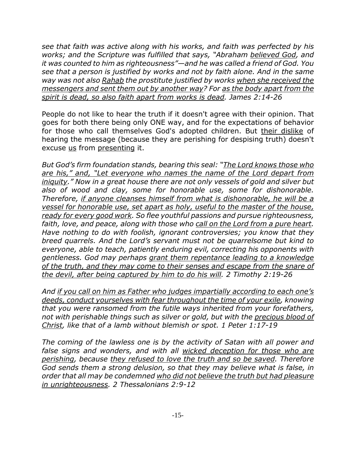*see that faith was active along with his works, and faith was perfected by his works; and the Scripture was fulfilled that says, "Abraham believed God, and it was counted to him as righteousness"—and he was called a friend of God. You see that a person is justified by works and not by faith alone. And in the same way was not also Rahab the prostitute justified by works when she received the messengers and sent them out by another way? For as the body apart from the spirit is dead, so also faith apart from works is dead. James 2:14-26*

People do not like to hear the truth if it doesn't agree with their opinion. That goes for both there being only ONE way, and for the expectations of behavior for those who call themselves God's adopted children. But their dislike of hearing the message (because they are perishing for despising truth) doesn't excuse us from presenting it.

*But God's firm foundation stands, bearing this seal: "The Lord knows those who are his," and, "Let everyone who names the name of the Lord depart from iniquity." Now in a great house there are not only vessels of gold and silver but also of wood and clay, some for honorable use, some for dishonorable. Therefore, if anyone cleanses himself from what is dishonorable, he will be a vessel for honorable use, set apart as holy, useful to the master of the house, ready for every good work. So flee youthful passions and pursue righteousness, faith, love, and peace, along with those who call on the Lord from a pure heart. Have nothing to do with foolish, ignorant controversies; you know that they breed quarrels. And the Lord's servant must not be quarrelsome but kind to everyone, able to teach, patiently enduring evil, correcting his opponents with gentleness. God may perhaps grant them repentance leading to a knowledge of the truth, and they may come to their senses and escape from the snare of the devil, after being captured by him to do his will. 2 Timothy 2:19-26*

*And if you call on him as Father who judges impartially according to each one's deeds, conduct yourselves with fear throughout the time of your exile, knowing that you were ransomed from the futile ways inherited from your forefathers, not with perishable things such as silver or gold, but with the precious blood of Christ, like that of a lamb without blemish or spot. 1 Peter 1:17-19*

*The coming of the lawless one is by the activity of Satan with all power and false signs and wonders, and with all wicked deception for those who are perishing, because they refused to love the truth and so be saved. Therefore God sends them a strong delusion, so that they may believe what is false, in order that all may be condemned who did not believe the truth but had pleasure in unrighteousness. 2 Thessalonians 2:9-12*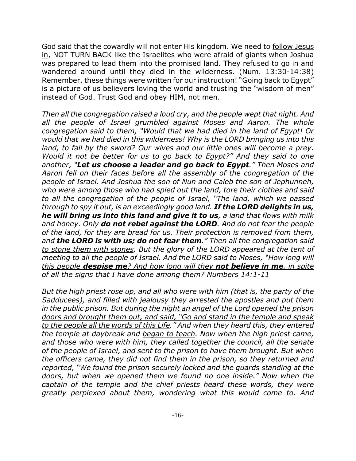God said that the cowardly will not enter His kingdom. We need to follow Jesus in, NOT TURN BACK like the Israelites who were afraid of giants when Joshua was prepared to lead them into the promised land. They refused to go in and wandered around until they died in the wilderness. (Num. 13:30-14:38) Remember, these things were written for our instruction! "Going back to Egypt" is a picture of us believers loving the world and trusting the "wisdom of men" instead of God. Trust God and obey HIM, not men.

*Then all the congregation raised a loud cry, and the people wept that night. And all the people of Israel grumbled against Moses and Aaron. The whole congregation said to them, "Would that we had died in the land of Egypt! Or would that we had died in this wilderness! Why is the LORD bringing us into this land, to fall by the sword? Our wives and our little ones will become a prey. Would it not be better for us to go back to Egypt?" And they said to one another, "Let us choose a leader and go back to Egypt." Then Moses and Aaron fell on their faces before all the assembly of the congregation of the people of Israel. And Joshua the son of Nun and Caleb the son of Jephunneh, who were among those who had spied out the land, tore their clothes and said to all the congregation of the people of Israel, "The land, which we passed through to spy it out, is an exceedingly good land. If the LORD delights in us, he will bring us into this land and give it to us, a land that flows with milk and honey. Only do not rebel against the LORD. And do not fear the people of the land, for they are bread for us. Their protection is removed from them, and the LORD is with us; do not fear them." Then all the congregation said to stone them with stones. But the glory of the LORD appeared at the tent of meeting to all the people of Israel. And the LORD said to Moses, "How long will this people despise me? And how long will they not believe in me, in spite of all the signs that I have done among them? Numbers 14:1-11*

*But the high priest rose up, and all who were with him (that is, the party of the Sadducees), and filled with jealousy they arrested the apostles and put them in the public prison. But during the night an angel of the Lord opened the prison doors and brought them out, and said, "Go and stand in the temple and speak to the people all the words of this Life." And when they heard this, they entered the temple at daybreak and began to teach. Now when the high priest came, and those who were with him, they called together the council, all the senate of the people of Israel, and sent to the prison to have them brought. But when the officers came, they did not find them in the prison, so they returned and reported, "We found the prison securely locked and the guards standing at the doors, but when we opened them we found no one inside." Now when the captain of the temple and the chief priests heard these words, they were greatly perplexed about them, wondering what this would come to. And*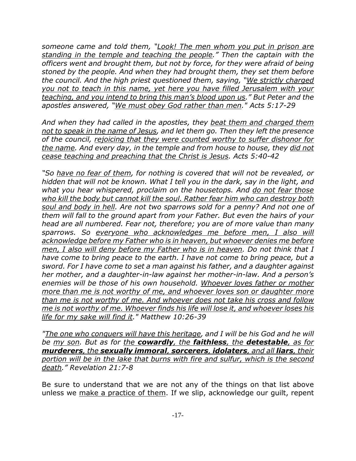*someone came and told them, "Look! The men whom you put in prison are standing in the temple and teaching the people." Then the captain with the officers went and brought them, but not by force, for they were afraid of being stoned by the people. And when they had brought them, they set them before the council. And the high priest questioned them, saying, "We strictly charged you not to teach in this name, yet here you have filled Jerusalem with your teaching, and you intend to bring this man's blood upon us." But Peter and the apostles answered, "We must obey God rather than men." Acts 5:17-29*

*And when they had called in the apostles, they beat them and charged them not to speak in the name of Jesus, and let them go. Then they left the presence of the council, rejoicing that they were counted worthy to suffer dishonor for the name. And every day, in the temple and from house to house, they did not cease teaching and preaching that the Christ is Jesus. Acts 5:40-42*

*"So have no fear of them, for nothing is covered that will not be revealed, or hidden that will not be known. What I tell you in the dark, say in the light, and what you hear whispered, proclaim on the housetops. And do not fear those who kill the body but cannot kill the soul. Rather fear him who can destroy both soul and body in hell. Are not two sparrows sold for a penny? And not one of them will fall to the ground apart from your Father. But even the hairs of your head are all numbered. Fear not, therefore; you are of more value than many sparrows. So everyone who acknowledges me before men, I also will acknowledge before my Father who is in heaven, but whoever denies me before men, I also will deny before my Father who is in heaven. Do not think that I have come to bring peace to the earth. I have not come to bring peace, but a sword. For I have come to set a man against his father, and a daughter against her mother, and a daughter-in-law against her mother-in-law. And a person's enemies will be those of his own household. Whoever loves father or mother more than me is not worthy of me, and whoever loves son or daughter more than me is not worthy of me. And whoever does not take his cross and follow me is not worthy of me. Whoever finds his life will lose it, and whoever loses his life for my sake will find it." Matthew 10:26-39*

*"The one who conquers will have this heritage, and I will be his God and he will be my son. But as for the cowardly, the faithless, the detestable, as for murderers, the sexually immoral, sorcerers, idolaters, and all liars, their portion will be in the lake that burns with fire and sulfur, which is the second death." Revelation 21:7-8*

Be sure to understand that we are not any of the things on that list above unless we make a practice of them. If we slip, acknowledge our guilt, repent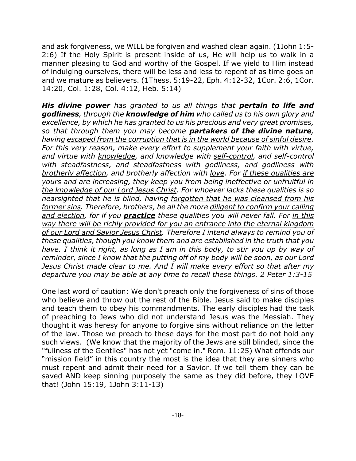and ask forgiveness, we WILL be forgiven and washed clean again. (1John 1:5- 2:6) If the Holy Spirit is present inside of us, He will help us to walk in a manner pleasing to God and worthy of the Gospel. If we yield to Him instead of indulging ourselves, there will be less and less to repent of as time goes on and we mature as believers. (1Thess. 5:19-22, Eph. 4:12-32, 1Cor. 2:6, 1Cor. 14:20, Col. 1:28, Col. 4:12, Heb. 5:14)

*His divine power has granted to us all things that pertain to life and godliness, through the knowledge of him who called us to his own glory and excellence, by which he has granted to us his precious and very great promises, so that through them you may become partakers of the divine nature, having escaped from the corruption that is in the world because of sinful desire. For this very reason, make every effort to supplement your faith with virtue, and virtue with knowledge, and knowledge with self-control, and self-control with steadfastness, and steadfastness with godliness, and godliness with brotherly affection, and brotherly affection with love. For if these qualities are yours and are increasing, they keep you from being ineffective or unfruitful in the knowledge of our Lord Jesus Christ. For whoever lacks these qualities is so nearsighted that he is blind, having forgotten that he was cleansed from his former sins. Therefore, brothers, be all the more diligent to confirm your calling and election, for if you practice these qualities you will never fall. For in this way there will be richly provided for you an entrance into the eternal kingdom of our Lord and Savior Jesus Christ. Therefore I intend always to remind you of these qualities, though you know them and are established in the truth that you have. I think it right, as long as I am in this body, to stir you up by way of reminder, since I know that the putting off of my body will be soon, as our Lord Jesus Christ made clear to me. And I will make every effort so that after my departure you may be able at any time to recall these things. 2 Peter 1:3-15*

One last word of caution: We don't preach only the forgiveness of sins of those who believe and throw out the rest of the Bible. Jesus said to make disciples and teach them to obey his commandments. The early disciples had the task of preaching to Jews who did not understand Jesus was the Messiah. They thought it was heresy for anyone to forgive sins without reliance on the letter of the law. Those we preach to these days for the most part do not hold any such views. (We know that the majority of the Jews are still blinded, since the "fullness of the Gentiles" has not yet "come in." Rom. 11:25) What offends our "mission field" in this country the most is the idea that they are sinners who must repent and admit their need for a Savior. If we tell them they can be saved AND keep sinning purposely the same as they did before, they LOVE that! (John 15:19, 1John 3:11-13)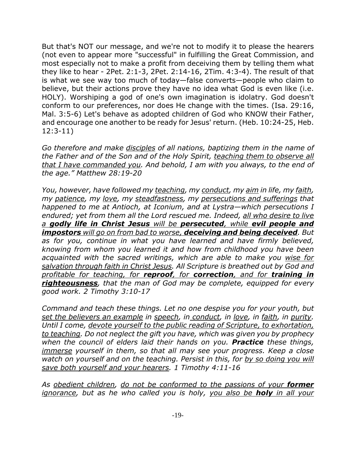But that's NOT our message, and we're not to modify it to please the hearers (not even to appear more "successful" in fulfilling the Great Commission, and most especially not to make a profit from deceiving them by telling them what they like to hear - 2Pet. 2:1-3, 2Pet. 2:14-16, 2Tim. 4:3-4). The result of that is what we see way too much of today—false converts—people who claim to believe, but their actions prove they have no idea what God is even like (i.e. HOLY). Worshiping a god of one's own imagination is idolatry. God doesn't conform to our preferences, nor does He change with the times. (Isa. 29:16, Mal. 3:5-6) Let's behave as adopted children of God who KNOW their Father, and encourage one another to be ready for Jesus' return. (Heb. 10:24-25, Heb. 12:3-11)

*Go therefore and make disciples of all nations, baptizing them in the name of the Father and of the Son and of the Holy Spirit, teaching them to observe all that I have commanded you. And behold, I am with you always, to the end of the age." Matthew 28:19-20*

*You, however, have followed my teaching, my conduct, my aim in life, my faith, my patience, my love, my steadfastness, my persecutions and sufferings that happened to me at Antioch, at Iconium, and at Lystra—which persecutions I endured; yet from them all the Lord rescued me. Indeed, all who desire to live a godly life in Christ Jesus will be persecuted, while evil people and impostors will go on from bad to worse, deceiving and being deceived. But as for you, continue in what you have learned and have firmly believed, knowing from whom you learned it and how from childhood you have been acquainted with the sacred writings, which are able to make you wise for salvation through faith in Christ Jesus. All Scripture is breathed out by God and profitable for teaching, for reproof, for correction, and for training in righteousness, that the man of God may be complete, equipped for every good work. 2 Timothy 3:10-17*

*Command and teach these things. Let no one despise you for your youth, but set the believers an example in speech, in conduct, in love, in faith, in purity. Until I come, devote yourself to the public reading of Scripture, to exhortation, to teaching. Do not neglect the gift you have, which was given you by prophecy when the council of elders laid their hands on you. Practice these things, immerse yourself in them, so that all may see your progress. Keep a close watch on yourself and on the teaching. Persist in this, for by so doing you will save both yourself and your hearers. 1 Timothy 4:11-16*

*As obedient children, do not be conformed to the passions of your former ignorance, but as he who called you is holy, you also be holy in all your*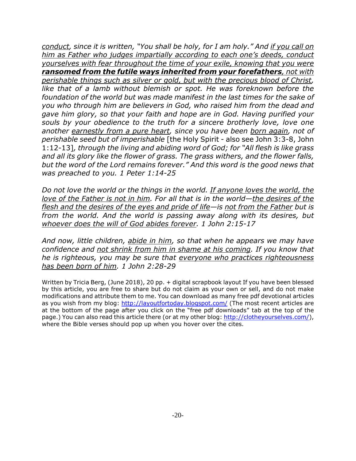*conduct, since it is written, "You shall be holy, for I am holy." And if you call on him as Father who judges impartially according to each one's deeds, conduct yourselves with fear throughout the time of your exile, knowing that you were ransomed from the futile ways inherited from your forefathers, not with perishable things such as silver or gold, but with the precious blood of Christ, like that of a lamb without blemish or spot. He was foreknown before the foundation of the world but was made manifest in the last times for the sake of you who through him are believers in God, who raised him from the dead and gave him glory, so that your faith and hope are in God. Having purified your souls by your obedience to the truth for a sincere brotherly love, love one another earnestly from a pure heart, since you have been born again, not of perishable seed but of imperishable* [the Holy Spirit - also see John 3:3-8, John 1:12-13]*, through the living and abiding word of God; for "All flesh is like grass and all its glory like the flower of grass. The grass withers, and the flower falls, but the word of the Lord remains forever." And this word is the good news that was preached to you. 1 Peter 1:14-25*

*Do not love the world or the things in the world. If anyone loves the world, the love of the Father is not in him. For all that is in the world—the desires of the flesh and the desires of the eyes and pride of life—is not from the Father but is from the world. And the world is passing away along with its desires, but whoever does the will of God abides forever. 1 John 2:15-17*

*And now, little children, abide in him, so that when he appears we may have confidence and not shrink from him in shame at his coming. If you know that he is righteous, you may be sure that everyone who practices righteousness has been born of him. 1 John 2:28-29*

Written by Tricia Berg, (June 2018), 20 pp. + digital scrapbook layout If you have been blessed by this article, you are free to share but do not claim as your own or sell, and do not make modifications and attribute them to me. You can download as many free pdf devotional articles as you wish from my blog: http://layoutfortoday.blogspot.com/ (The most recent articles are at the bottom of the page after you click on the "free pdf downloads" tab at the top of the page.) You can also read this article there (or at my other blog: http://clotheyourselves.com/), where the Bible verses should pop up when you hover over the cites.